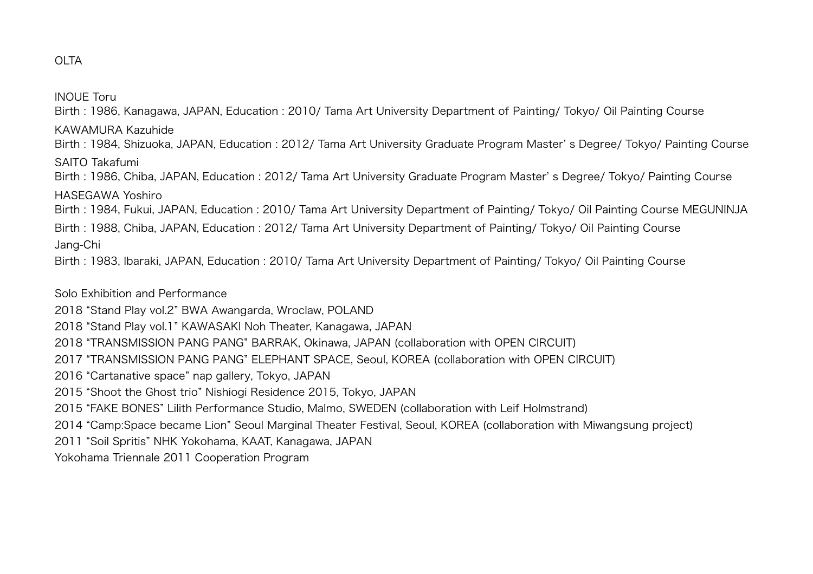## OLTA

INOUE Toru Birth : 1986, Kanagawa, JAPAN, Education : 2010/ Tama Art University Department of Painting/ Tokyo/ Oil Painting Course KAWAMURA Kazuhide Birth : 1984, Shizuoka, JAPAN, Education : 2012/ Tama Art University Graduate Program Master' s Degree/ Tokyo/ Painting Course SAITO Takafumi Birth : 1986, Chiba, JAPAN, Education : 2012/ Tama Art University Graduate Program Master' s Degree/ Tokyo/ Painting Course HASEGAWA Yoshiro Birth : 1984, Fukui, JAPAN, Education : 2010/ Tama Art University Department of Painting/ Tokyo/ Oil Painting Course MEGUNINJA Birth : 1988, Chiba, JAPAN, Education : 2012/ Tama Art University Department of Painting/ Tokyo/ Oil Painting Course Jang-Chi Birth : 1983, Ibaraki, JAPAN, Education : 2010/ Tama Art University Department of Painting/ Tokyo/ Oil Painting Course

Solo Exhibition and Performance

- 2018 "Stand Play vol.2" BWA Awangarda, Wroclaw, POLAND
- 2018 "Stand Play vol.1" KAWASAKI Noh Theater, Kanagawa, JAPAN
- 2018 "TRANSMISSION PANG PANG" BARRAK, Okinawa, JAPAN (collaboration with OPEN CIRCUIT)
- 2017 "TRANSMISSION PANG PANG" ELEPHANT SPACE, Seoul, KOREA (collaboration with OPEN CIRCUIT)
- 2016 "Cartanative space" nap gallery, Tokyo, JAPAN
- 2015 "Shoot the Ghost trio" Nishiogi Residence 2015, Tokyo, JAPAN
- 2015 "FAKE BONES" Lilith Performance Studio, Malmo, SWEDEN (collaboration with Leif Holmstrand)
- 2014 "Camp:Space became Lion" Seoul Marginal Theater Festival, Seoul, KOREA (collaboration with Miwangsung project)
- 2011 "Soil Spritis" NHK Yokohama, KAAT, Kanagawa, JAPAN
- Yokohama Triennale 2011 Cooperation Program